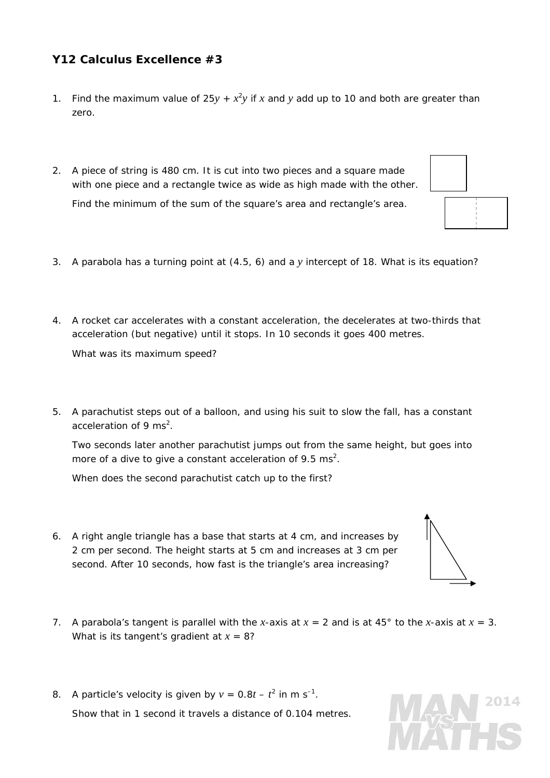## **Y12 Calculus Excellence #3**

- 1. Find the maximum value of  $25y + x^2y$  if x and y add up to 10 and both are greater than zero.
- 2. A piece of string is 480 cm. It is cut into two pieces and a square made with one piece and a rectangle twice as wide as high made with the other. Find the minimum of the sum of the square's area and rectangle's area.



4. A rocket car accelerates with a constant acceleration, the decelerates at two-thirds that acceleration (but negative) until it stops. In 10 seconds it goes 400 metres.

What was its maximum speed?

5. A parachutist steps out of a balloon, and using his suit to slow the fall, has a constant acceleration of 9 ms<sup>2</sup>.

 Two seconds later another parachutist jumps out from the same height, but goes into more of a dive to give a constant acceleration of 9.5 ms<sup>2</sup>.

When does the second parachutist catch up to the first?

- 6. A right angle triangle has a base that starts at 4 cm, and increases by 2 cm per second. The height starts at 5 cm and increases at 3 cm per second. After 10 seconds, how fast is the triangle's area increasing?
- 7. A parabola's tangent is parallel with the *x*-axis at  $x = 2$  and is at 45° to the *x*-axis at  $x = 3$ . What is its tangent's gradient at *x* = 8?
- 8. A particle's velocity is given by  $v = 0.8t t^2$  in m s<sup>-1</sup>. Show that in 1 second it travels a distance of 0.104 metres.





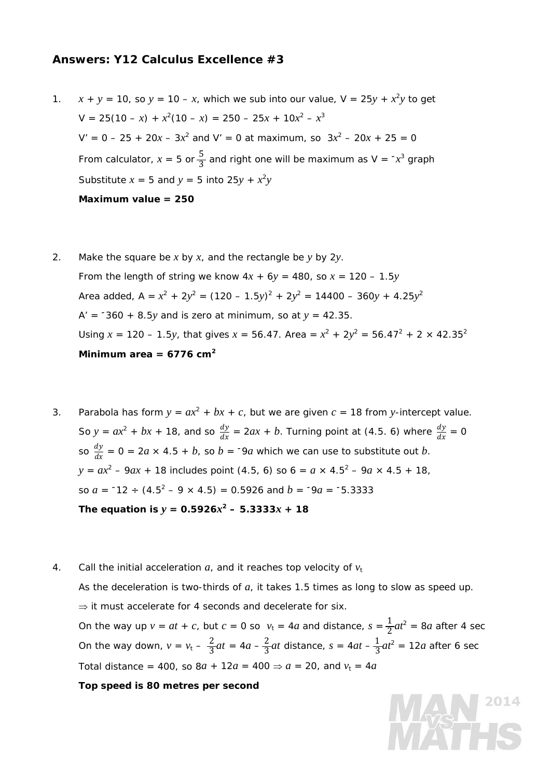## **Answers: Y12 Calculus Excellence #3**

- 1.  $x + y = 10$ , so  $y = 10 x$ , which we sub into our value,  $V = 25y + x^2y$  to get  $V = 25(10 - x) + x^2(10 - x) = 250 - 25x + 10x^2 - x^3$  $V' = 0 - 25 + 20x - 3x^2$  and  $V' = 0$  at maximum, so  $3x^2 - 20x + 25 = 0$ From calculator,  $x = 5$  or  $\frac{5}{3}$  and right one will be maximum as  $V = -x^3$  graph Substitute  $x = 5$  and  $y = 5$  into  $25y + x^2y$ **Maximum value = 250**
- 2. Make the square be *x* by *x*, and the rectangle be *y* by 2*y*. From the length of string we know  $4x + 6y = 480$ , so  $x = 120 - 1.5y$ Area added,  $A = x^2 + 2y^2 = (120 - 1.5y)^2 + 2y^2 = 14400 - 360y + 4.25y^2$  $A' = -360 + 8.5y$  and is zero at minimum, so at  $y = 42.35$ . Using  $x = 120 - 1.5y$ , that gives  $x = 56.47$ . Area =  $x^2 + 2y^2 = 56.47^2 + 2 \times 42.35^2$ **Minimum area = 6776 cm2**
- 3. Parabola has form  $y = ax^2 + bx + c$ , but we are given  $c = 18$  from *y*-intercept value. So  $y = ax^2 + bx + 18$ , and so  $\frac{dy}{dx} = 2ax + b$ . Turning point at (4.5. 6) where  $\frac{dy}{dx} = 0$ so  $\frac{dy}{dx}$  = 0 = 2*a* × 4.5 + *b*, so *b* = <sup>-</sup>9*a* which we can use to substitute out *b*.  $y = ax^2 - 9ax + 18$  includes point (4.5, 6) so  $6 = a \times 4.5^2 - 9a \times 4.5 + 18$ , so  $a = -12 \div (4.5^2 - 9 \times 4.5) = 0.5926$  and  $b = -9a = -5.3333$ The equation is  $y = 0.5926x^2 - 5.3333x + 18$
- 4. Call the initial acceleration  $a_i$ , and it reaches top velocity of  $v_t$  As the deceleration is two-thirds of *a*, it takes 1.5 times as long to slow as speed up.  $\Rightarrow$  it must accelerate for 4 seconds and decelerate for six. On the way up  $v = at + c$ , but  $c = 0$  so  $v_t = 4a$  and distance,  $s = \frac{1}{2}at^2 = 8a$  after 4 sec On the way down,  $v = v_t - \frac{2}{3}at = 4a - \frac{2}{3}at$  distance,  $s = 4at - \frac{1}{3}at^2 = 12a$  after 6 sec Total distance = 400, so  $8a + 12a = 400 \Rightarrow a = 20$ , and  $v_t = 4a$  **Top speed is 80 metres per second**